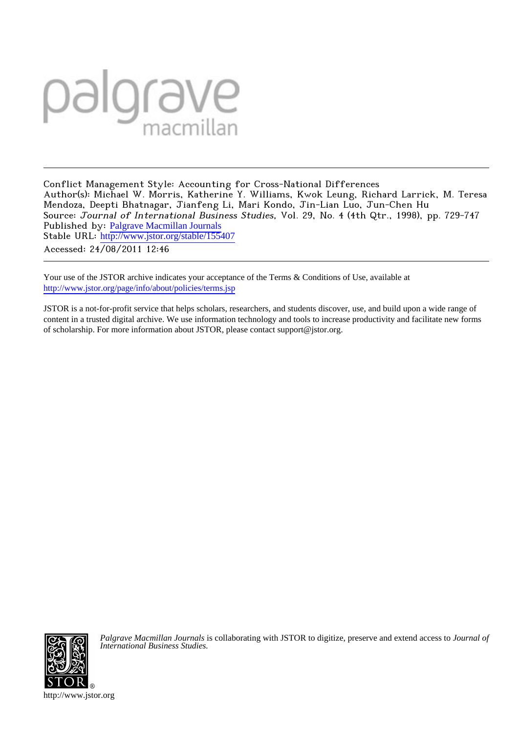# palgrave

Conflict Management Style: Accounting for Cross-National Differences Author(s): Michael W. Morris, Katherine Y. Williams, Kwok Leung, Richard Larrick, M. Teresa Mendoza, Deepti Bhatnagar, Jianfeng Li, Mari Kondo, Jin-Lian Luo, Jun-Chen Hu Source: Journal of International Business Studies, Vol. 29, No. 4 (4th Qtr., 1998), pp. 729-747 Published by: [Palgrave Macmillan Journals](http://www.jstor.org/action/showPublisher?publisherCode=pal) Stable URL: http://www.jstor.org/stable/155407 Accessed: 24/08/2011 12:46

Your use of the JSTOR archive indicates your acceptance of the Terms & Conditions of Use, available at <http://www.jstor.org/page/info/about/policies/terms.jsp>

JSTOR is a not-for-profit service that helps scholars, researchers, and students discover, use, and build upon a wide range of content in a trusted digital archive. We use information technology and tools to increase productivity and facilitate new forms of scholarship. For more information about JSTOR, please contact support@jstor.org.



*Palgrave Macmillan Journals* is collaborating with JSTOR to digitize, preserve and extend access to *Journal of International Business Studies.*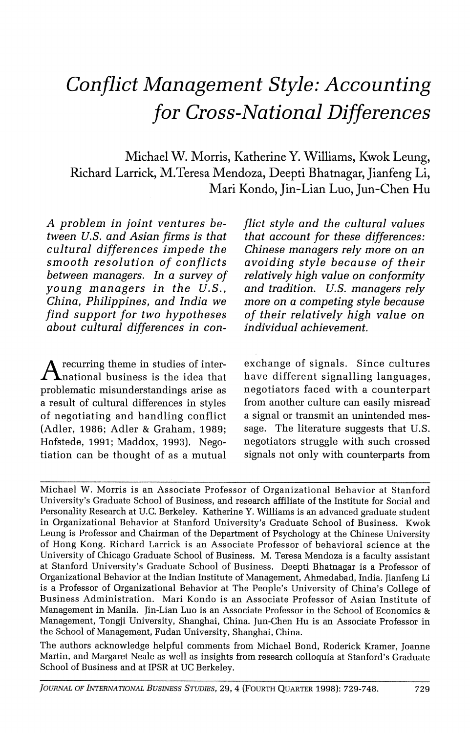# **Conflict Management Style: Accounting for Cross-National Differences**

**Michael W. Morris, Katherine Y. Williams, Kwok Leung, Richard Larrick, M.Teresa Mendoza, Deepti Bhatnagar, Jianfeng Li, Mari Kondo, Jin-Lian Luo, Jun-Chen Hu** 

**A problem in joint ventures between U.S. and Asian firms is that cultural differences impede the smooth resolution of conflicts between managers. In a survey of young managers in the U.S., China, Philippines, and India we find support for two hypotheses about cultural differences in con-**

**A recurring theme in studies of international business is the idea that problematic misunderstandings arise as a result of cultural differences in styles of negotiating and handling conflict (Adler, 1986; Adler & Graham, 1989; Hofstede, 1991; Maddox, 1993). Negotiation can be thought of as a mutual** 

**flict style and the cultural values that account for these differences: Chinese managers rely more on an avoiding style because of their relatively high value on conformity and tradition. U.S. managers rely more on a competing style because of their relatively high value on individual achievement.** 

**exchange of signals. Since cultures have different signalling languages, negotiators faced with a counterpart from another culture can easily misread a signal or transmit an unintended message. The literature suggests that U.S. negotiators struggle with such crossed signals not only with counterparts from** 

**Michael W. Morris is an Associate Professor of Organizational Behavior at Stanford University's Graduate School of Business, and research affiliate of the Institute for Social and Personality Research at U.C. Berkeley. Katherine Y. Williams is an advanced graduate student in Organizational Behavior at Stanford University's Graduate School of Business. Kwok Leung is Professor and Chairman of the Department of Psychology at the Chinese University of Hong Kong. Richard Larrick is an Associate Professor of behavioral science at the University of Chicago Graduate School of Business. M. Teresa Mendoza is a faculty assistant at Stanford University's Graduate School of Business. Deepti Bhatnagar is a Professor of Organizational Behavior at the Indian Institute of Management, Ahmedabad, India. Jianfeng Li is a Professor of Organizational Behavior at The People's University of China's College of Business Administration. Mari Kondo is an Associate Professor of Asian Institute of Management in Manila. Jin-Lian Luo is an Associate Professor in the School of Economics & Management, Tongji University, Shanghai, China. Jun-Chen Hu is an Associate Professor in the School of Management, Fudan University, Shanghai, China.** 

**The authors acknowledge helpful comments from Michael Bond, Roderick Kramer, Joanne Martin, and Margaret Neale as well as insights from research colloquia at Stanford's Graduate School of Business and at IPSR at UC Berkeley.**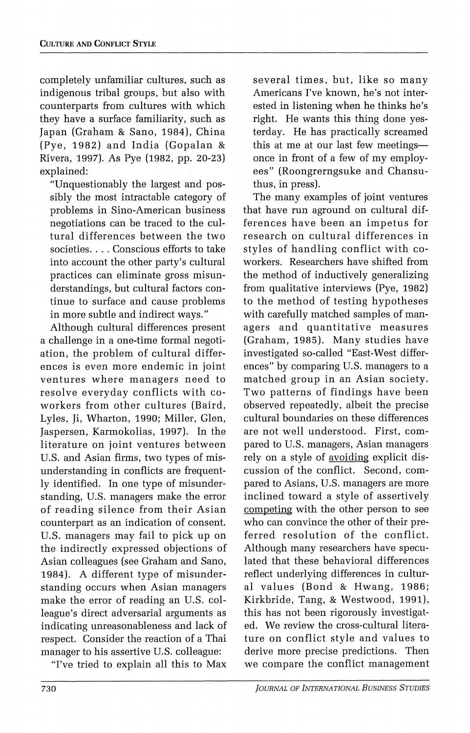**completely unfamiliar cultures, such as indigenous tribal groups, but also with counterparts from cultures with which they have a surface familiarity, such as Japan (Graham & Sano, 1984), China (Pye, 1982) and India (Gopalan & Rivera, 1997). As Pye (1982, pp. 20-23) explained:** 

**"Unquestionably the largest and possibly the most intractable category of problems in Sino-American business negotiations can be traced to the cultural differences between the two societies.... Conscious efforts to take into account the other party's cultural practices can eliminate gross misunderstandings, but cultural factors continue to surface and cause problems in more subtle and indirect ways."** 

**Although cultural differences present a challenge in a one-time formal negotiation, the problem of cultural differences is even more endemic in joint ventures where managers need to resolve everyday conflicts with coworkers from other cultures (Baird, Lyles, Ji, Wharton, 1990; Miller, Glen, Jaspersen, Karmokolias, 1997). In the literature on joint ventures between U.S. and Asian firms, two types of misunderstanding in conflicts are frequently identified. In one type of misunderstanding, U.S. managers make the error of reading silence from their Asian counterpart as an indication of consent. U.S. managers may fail to pick up on the indirectly expressed objections of Asian colleagues (see Graham and Sano, 1984). A different type of misunderstanding occurs when Asian managers make the error of reading an U.S. colleague's direct adversarial arguments as indicating unreasonableness and lack of respect. Consider the reaction of a Thai manager to his assertive U.S. colleague:** 

**"I've tried to explain all this to Max** 

**several times, but, like so many Americans I've known, he's not interested in listening when he thinks he's right. He wants this thing done yesterday. He has practically screamed this at me at our last few meetingsonce in front of a few of my employees" (Roongrerngsuke and Chansuthus, in press).** 

**The many examples of joint ventures that have run aground on cultural differences have been an impetus for research on cultural differences in styles of handling conflict with coworkers. Researchers have shifted from the method of inductively generalizing from qualitative interviews (Pye, 1982) to the method of testing hypotheses with carefully matched samples of managers and quantitative measures (Graham, 1985). Many studies have investigated so-called "East-West differences" by comparing U.S. managers to a matched group in an Asian society. Two patterns of findings have been observed repeatedly, albeit the precise cultural boundaries on these differences are not well understood. First, compared to U.S. managers, Asian managers rely on a style of avoiding explicit discussion of the conflict. Second, compared to Asians, U.S. managers are more inclined toward a style of assertively competing with the other person to see who can convince the other of their preferred resolution of the conflict. Although many researchers have speculated that these behavioral differences reflect underlying differences in cultural values (Bond & Hwang, 1986; Kirkbride, Tang, & Westwood, 1991), this has not been rigorously investigated. We review the cross-cultural literature on conflict style and values to derive more precise predictions. Then we compare the conflict management**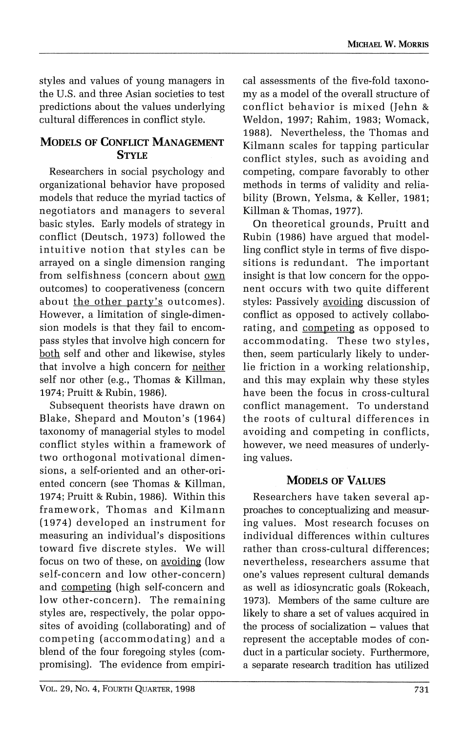**styles and values of young managers in the U.S. and three Asian societies to test predictions about the values underlying cultural differences in conflict style.** 

#### **MODELS OF CONFLICT MANAGEMENT STYLE**

**Researchers in social psychology and organizational behavior have proposed models that reduce the myriad tactics of negotiators and managers to several basic styles. Early models of strategy in conflict (Deutsch, 1973) followed the intuitive notion that styles can be arrayed on a single dimension ranging from selfishness (concern about own outcomes) to cooperativeness (concern about the other party's outcomes). However, a limitation of single-dimension models is that they fail to encompass styles that involve high concern for both self and other and likewise, styles that involve a high concern for neither self nor other (e.g., Thomas & Killman, 1974; Pruitt & Rubin, 1986).** 

**Subsequent theorists have drawn on Blake, Shepard and Mouton's (1964) taxonomy of managerial styles to model conflict styles within a framework of two orthogonal motivational dimensions, a self-oriented and an other-oriented concern (see Thomas & Killman, 1974; Pruitt & Rubin, 1986). Within this framework, Thomas and Kilmann (1974) developed an instrument for measuring an individual's dispositions toward five discrete styles. We will focus on two of these, on avoiding (low self-concern and low other-concern) and competing (high self-concern and low other-concern). The remaining styles are, respectively, the polar opposites of avoiding (collaborating) and of competing (accommodating) and a blend of the four foregoing styles (compromising). The evidence from empiri-**

**cal assessments of the five-fold taxonomy as a model of the overall structure of conflict behavior is mixed (Jehn & Weldon, 1997; Rahim, 1983; Womack, 1988). Nevertheless, the Thomas and Kilmann scales for tapping particular conflict styles, such as avoiding and competing, compare favorably to other methods in terms of validity and reliability (Brown, Yelsma, & Keller, 1981; Killman & Thomas, 1977).** 

**On theoretical grounds, Pruitt and Rubin (1986) have argued that modelling conflict style in terms of five dispositions is redundant. The important insight is that low concern for the opponent occurs with two quite different styles: Passively avoiding discussion of conflict as opposed to actively collaborating, and competing as opposed to accommodating. These two styles, then, seem particularly likely to underlie friction in a working relationship, and this may explain why these styles have been the focus in cross-cultural conflict management. To understand the roots of cultural differences in avoiding and competing in conflicts, however, we need measures of underlying values.** 

#### **MODELS OF VALUES**

**Researchers have taken several approaches to conceptualizing and measuring values. Most research focuses on individual differences within cultures rather than cross-cultural differences; nevertheless, researchers assume that one's values represent cultural demands as well as idiosyncratic goals (Rokeach, 1973). Members of the same culture are likely to share a set of values acquired in the process of socialization - values that represent the acceptable modes of conduct in a particular society. Furthermore, a separate research tradition has utilized**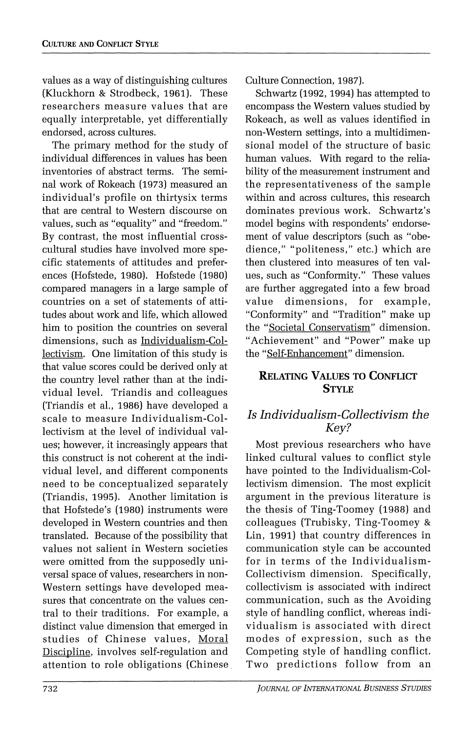**values as a way of distinguishing cultures (Kluckhorn & Strodbeck, 1961). These researchers measure values that are equally interpretable, yet differentially endorsed, across cultures.** 

**The primary method for the study of individual differences in values has been inventories of abstract terms. The seminal work of Rokeach (1973) measured an individual's profile on thirtysix terms that are central to Western discourse on values, such as "equality" and "freedom." By contrast, the most influential crosscultural studies have involved more specific statements of attitudes and preferences (Hofstede, 1980). Hofstede (1980) compared managers in a large sample of countries on a set of statements of attitudes about work and life, which allowed him to position the countries on several dimensions, such as Individualism-Collectivism. One limitation of this study is that value scores could be derived only at the country level rather than at the individual level. Triandis and colleagues (Triandis et al., 1986) have developed a scale to measure Individualism-Collectivism at the level of individual values; however, it increasingly appears that this construct is not coherent at the individual level, and different components need to be conceptualized separately (Triandis, 1995). Another limitation is that Hofstede's (1980) instruments were developed in Western countries and then translated. Because of the possibility that values not salient in Western societies were omitted from the supposedly universal space of values, researchers in non-Western settings have developed measures that concentrate on the values central to their traditions. For example, a distinct value dimension that emerged in studies of Chinese values, Moral Discipline, involves self-regulation and attention to role obligations (Chinese,**  **Culture Connection, 1987).** 

**Schwartz (1992, 1994) has attempted to encompass the Western values studied by Rokeach, as well as values identified in non-Western settings, into a multidimensional model of the structure of basic human values. With regard to the reliability of the measurement instrument and the representativeness of the sample within and across cultures, this research dominates previous work. Schwartz's model begins with respondents' endorsement of value descriptors (such as "obe- ;dience," "politeness," etc.) which are then clustered into measures of ten values, such as "Conformity." These values are further aggregated into a few broad value dimensions, for example, "Conformity" and "Tradition" make up the "Societal Conservatism" dimension. "Achievement" and "Power" make up the "Self-Enhancement" dimension.** 

#### **RELATING VALUES TO CONFLICT STYLE**

### **Is Individualism-Collectivism the Key?**

**Most previous researchers who have linked cultural values to conflict style have pointed to the Individualism-Collectivism dimension. The most explicit argument in the previous literature is the thesis of Ting-Toomey (1988) and colleagues (Trubisky, Ting-Toomey & Lin, 1991) that country differences in communication style can be accounted for in terms of the Individualism-Collectivism dimension. Specifically, collectivism is associated with indirect communication, such as the Avoiding style of handling conflict, whereas individualism is associated with direct modes of expression, such as the Competing style of handling conflict. Two predictions follow from an**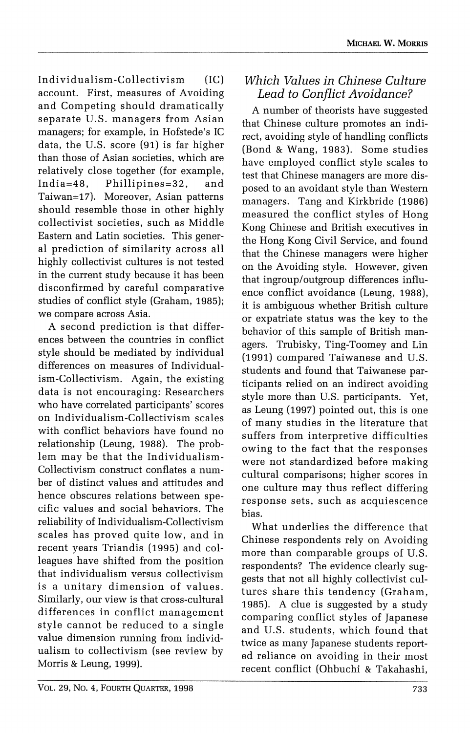**Individualism-Collectivism (IC) account. First, measures of Avoiding and Competing should dramatically separate U.S. managers from Asian managers; for example, in Hofstede's IC data, the U.S. score (91) is far higher than those of Asian societies, which are relatively close together (for example, India=48, Phillipines=32, and Taiwan=17). Moreover, Asian patterns should resemble those in other highly collectivist societies, such as Middle Eastern and Latin societies. This general prediction of similarity across all highly collectivist cultures is not tested in the current study because it has been disconfirmed by careful comparative studies of conflict style (Graham, 1985); we compare across Asia.** 

**A second prediction is that differences between the countries in conflict style should be mediated by individual differences on measures of Individualism-Collectivism. Again, the existing data is not encouraging: Researchers who have correlated participants' scores on Individualism-Collectivism scales with conflict behaviors have found no relationship (Leung, 1988). The problem may be that the Individualism-Collectivism construct conflates a number of distinct values and attitudes and hence obscures relations between specific values and social behaviors. The reliability of Individualism-Collectivism scales has proved quite low, and in recent years Triandis (1995) and colleagues have shifted from the position that individualism versus collectivism is a unitary dimension of values. Similarly, our view is that cross-cultural differences in conflict management style cannot be reduced to a single value dimension running from individualism to collectivism (see review by Morris & Leung, 1999).** 

# **Which Values in Chinese Culture Lead to Conflict Avoidance?**

**A number of theorists have suggested that Chinese culture promotes an indirect, avoiding style of handling conflicts (Bond & Wang, 1983). Some studies have employed conflict style scales to test that Chinese managers are more disposed to an avoidant style than Western managers. Tang and Kirkbride (1986) measured the conflict styles of Hong Kong Chinese and British executives in the Hong Kong Civil Service, and found that the Chinese managers were higher on the Avoiding style. However, given that ingroup/outgroup differences influence conflict avoidance (Leung, 1988), it is ambiguous whether British culture or expatriate status was the key to the behavior of this sample of British managers. Trubisky, Ting-Toomey and Lin (1991) compared Taiwanese and U.S. students and found that Taiwanese participants relied on an indirect avoiding style more than U.S. participants. Yet, as Leung (1997) pointed out, this is one of many studies in the literature that suffers from interpretive difficulties owing to the fact that the responses were not standardized before making cultural comparisons; higher scores in one culture may thus reflect differing response sets, such as acquiescence bias.** 

**What underlies the difference that Chinese respondents rely on Avoiding more than comparable groups of U.S. respondents? The evidence clearly suggests that not all highly collectivist cultures share this tendency (Graham, 1985). A clue is suggested by a study comparing conflict styles of Japanese and U.S. students, which found that twice as many Japanese students reported reliance on avoiding in their most recent conflict (Ohbuchi & Takahashi,**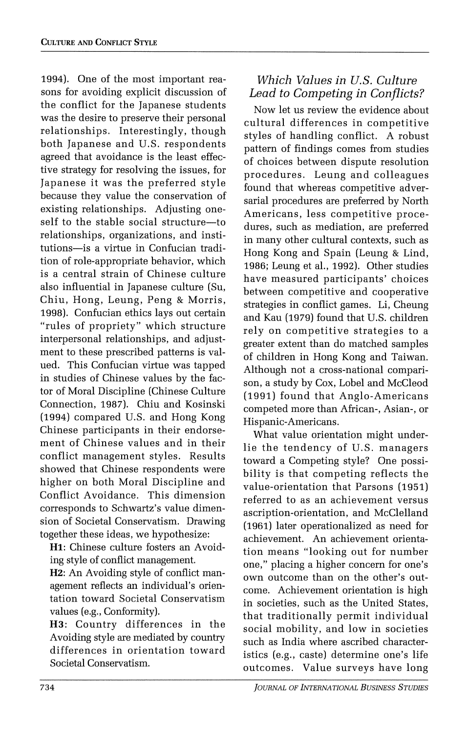**1994). One of the most important reasons for avoiding explicit discussion of the conflict for the Japanese students was the desire to preserve their personal relationships. Interestingly, though both Japanese and U.S. respondents agreed that avoidance is the least effective strategy for resolving the issues, for Japanese it was the preferred style because they value the conservation of existing relationships. Adjusting oneself to the stable social structure-to relationships, organizations, and institutions-is a virtue in Confucian tradition of role-appropriate behavior, which is a central strain of Chinese culture also influential in Japanese culture (Su, Chiu, Hong, Leung, Peng & Morris, 1998). Confucian ethics lays out certain "rules of propriety" which structure interpersonal relationships, and adjustment to these prescribed patterns is valued. This Confucian virtue was tapped in studies of Chinese values by the factor of Moral Discipline (Chinese Culture Connection, 1987). Chiu and Kosinski (1994) compared U.S. and Hong Kong Chinese participants in their endorsement of Chinese values and in their conflict management styles. Results showed that Chinese respondents were higher on both Moral Discipline and Conflict Avoidance. This dimension corresponds to Schwartz's value dimension of Societal Conservatism. Drawing together these ideas, we hypothesize:** 

**Hi: Chinese culture fosters an Avoiding style of conflict management.** 

**H2: An Avoiding style of conflict management reflects an individual's orientation toward Societal Conservatism values (e.g., Conformity).** 

**H3: Country differences in the Avoiding style are mediated by country differences in orientation toward Societal Conservatism.** 

# **Which Values in U.S. Culture Lead to Competing in Conflicts?**

**Now let us review the evidence about cultural differences in competitive styles of handling conflict. A robust pattern of findings comes from studies of choices between dispute resolution procedures. Leung and colleagues found that whereas competitive adversarial procedures are preferred by North Americans, less competitive procedures, such as mediation, are preferred in many other cultural contexts, such as Hong Kong and Spain (Leung & Lind, 1986; Leung et al., 1992). Other studies have measured participants' choices between competitive and cooperative strategies in conflict games. Li, Cheung and Kau (1979) found that U.S. children rely on competitive strategies to a greater extent than do matched samples of children in Hong Kong and Taiwan. Although not a cross-national comparison, a study by Cox, Lobel and McCleod (1991) found that Anglo-Americans competed more than African-, Asian-, or Hispanic-Americans.** 

**What value orientation might underlie the tendency of U.S. managers toward a Competing style? One possibility is that competing reflects the value-orientation that Parsons (1951) referred to as an achievement versus ascription-orientation, and McClelland (1961) later operationalized as need for achievement. An achievement orientation means "looking out for number one," placing a higher concern for one's own outcome than on the other's outcome. Achievement orientation is high in societies, such as the United States, that traditionally permit individual social mobility, and low in societies such as India where ascribed characteristics (e.g., caste) determine one's life outcomes. Value surveys have long**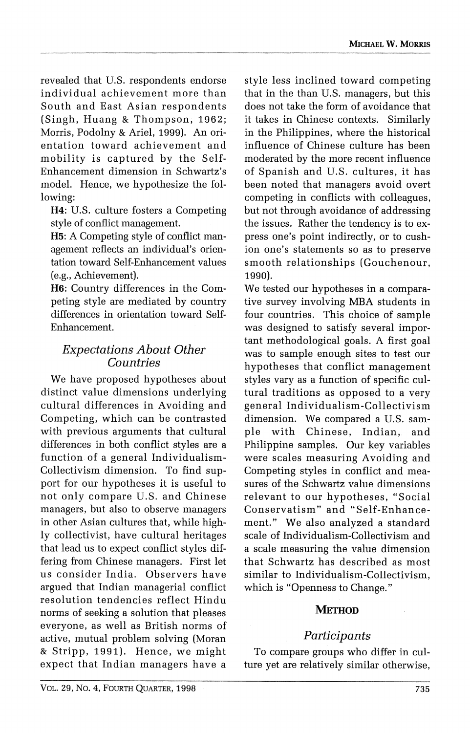**revealed that U.S. respondents endorse individual achievement more than South and East Asian respondents (Singh, Huang & Thompson, 1962; Morris, Podolny & Ariel, 1999). An orientation toward achievement and mobility is captured by the Self-Enhancement dimension in Schwartz's model. Hence, we hypothesize the following:** 

**H4: U.S. culture fosters a Competing style of conflict management.** 

**H5: A Competing style of conflict management reflects an individual's orientation toward Self-Enhancement values (e.g., Achievement).** 

**H6: Country differences in the Competing style are mediated by country differences in orientation toward Self-Enhancement.** 

#### **Expectations About Other Countries**

**We have proposed hypotheses about distinct value dimensions underlying cultural differences in Avoiding and Competing, which can be contrasted with previous arguments that cultural differences in both conflict styles are a function of a general Individualism-Collectivism dimension. To find support for our hypotheses it is useful to not only compare U.S. and Chinese managers, but also to observe managers in other Asian cultures that, while highly collectivist, have cultural heritages that lead us to expect conflict styles differing from Chinese managers. First let us consider India. Observers have argued that Indian managerial conflict resolution tendencies reflect Hindu norms of seeking a solution that pleases everyone, as well as British norms of active, mutual problem solving (Moran & Stripp, 1991). Hence, we might expect that Indian managers have a**  **style less inclined toward competing that in the than U.S. managers, but this does not take the form of avoidance that it takes in Chinese contexts. Similarly in the Philippines, where the historical influence of Chinese culture has been moderated by the more recent influence of Spanish and U.S. cultures, it has been noted that managers avoid overt competing in conflicts with colleagues, but not through avoidance of addressing the issues. Rather the tendency is to express one's point indirectly, or to cushion one's statements so as to preserve smooth relationships (Gouchenour, 1990).** 

**We tested our hypotheses in a comparative survey involving MBA students in four countries. This choice of sample was designed to satisfy several important methodological goals. A first goal was to sample enough sites to test our hypotheses that conflict management styles vary as a function of specific cultural traditions as opposed to a very general Individualism-Collectivism dimension. We compared a U.S. sample with Chinese, Indian, and Philippine samples. Our key variables were scales measuring Avoiding and Competing styles in conflict and measures of the Schwartz value dimensions relevant to our hypotheses, "Social Conservatism" and "Self-Enhancement." We also analyzed a standard scale of Individualism-Collectivism and a scale measuring the value dimension that Schwartz has described as most similar to Individualism-Collectivism, which is "Openness to Change."** 

#### **METHOD**

#### **Participants**

**To compare groups who differ in culture yet are relatively similar otherwise,**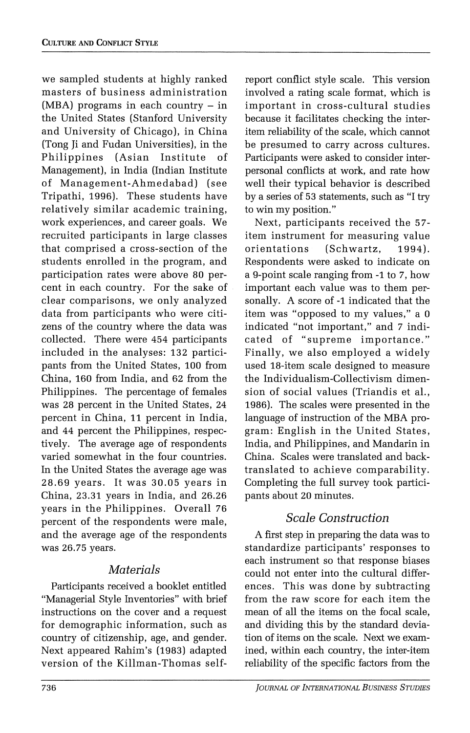**we sampled students at highly ranked masters of business administration (MBA) programs in each country - in the United States (Stanford University and University of Chicago), in China (Tong Ji and Fudan Universities), in the Philippines (Asian Institute of Management), in India (Indian Institute of Management-Ahmedabad) (see Tripathi, 1996). These students have relatively similar academic training, work experiences, and career goals. We recruited participants in large classes that comprised a cross-section of the students enrolled in the program, and participation rates were above 80 percent in each country. For the sake of clear comparisons, we only analyzed data from participants who were citizens of the country where the data was collected. There were 454 participants included in the analyses: 132 participants from the United States, 100 from China, 160 from India, and 62 from the Philippines. The percentage of females was 28 percent in the United States, 24 percent in China, 11 percent in India, and 44 percent the Philippines, respectively. The average age of respondents varied somewhat in the four countries. In the United States the average age was 28.69 years. It was 30.05 years in China, 23.31 years in India, and 26.26 years in the Philippines. Overall 76 percent of the respondents were male, and the average age of the respondents was 26.75 years.** 

#### **Materials**

**Participants received a booklet entitled "Managerial Style Inventories" with brief instructions on the cover and a request for demographic information, such as country of citizenship, age, and gender. Next appeared Rahim's (1983) adapted version of the Killman-Thomas self-** **report conflict style scale. This version involved a rating scale format, which is important in cross-cultural studies because it facilitates checking the interitem reliability of the scale, which cannot be presumed to carry across cultures. Participants were asked to consider interpersonal conflicts at work, and rate how well their typical behavior is described by a series of 53 statements, such as "I try to win my position."** 

**Next, participants received the 57 item instrument for measuring value orientations (Schwartz, 1994). Respondents were asked to indicate on a 9-point scale ranging from -1 to 7, how important each value was to them personally. A score of -1 indicated that the item was "opposed to my values," a 0 indicated "not important," and 7 indicated of "supreme importance." Finally, we also employed a widely used 18-item scale designed to measure the Individualism-Collectivism dimension of social values (Triandis et al., 1986). The scales were presented in the language of instruction of the MBA program: English in the United States, India, and Philippines, and Mandarin in China. Scales were translated and backtranslated to achieve comparability. Completing the full survey took participants about 20 minutes.** 

# **Scale Construction**

**A first step in preparing the data was to standardize participants' responses to each instrument so that response biases could not enter into the cultural differences. This was done by subtracting from the raw score for each item the mean of all the items on the focal scale, and dividing this by the standard deviation of items on the scale. Next we examined, within each country, the inter-item reliability of the specific factors from the**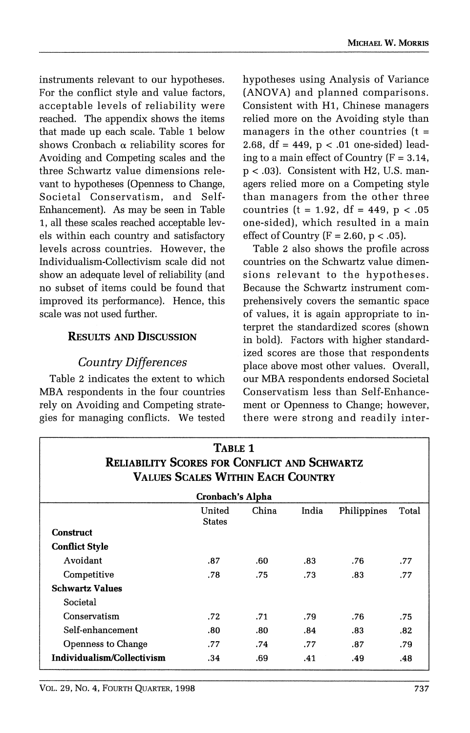**instruments relevant to our hypotheses. For the conflict style and value factors, acceptable levels of reliability were reached. The appendix shows the items that made up each scale. Table 1 below shows Cronbach a reliability scores for Avoiding and Competing scales and the three Schwartz value dimensions relevant to hypotheses (Openness to Change, Societal Conservatism, and Self-Enhancement). As may be seen in Table 1, all these scales reached acceptable levels within each country and satisfactory levels across countries. However, the Individualism-Collectivism scale did not show an adequate level of reliability (and no subset of items could be found that improved its performance). Hence, this scale was not used further.** 

#### **RESULTS AND DISCUSSION**

#### **Country Differences**

**Table 2 indicates the extent to which MBA respondents in the four countries rely on Avoiding and Competing strategies for managing conflicts. We tested**  **hypotheses using Analysis of Variance (ANOVA) and planned comparisons. Consistent with Hi, Chinese managers relied more on the Avoiding style than managers in the other countries (t = 2.68, df = 449, p < .01 one-sided) leading to a main effect of Country (F = 3.14, p < .03). Consistent with H2, U.S. managers relied more on a Competing style than managers from the other three countries (t = 1.92, df = 449, p < .05 one-sided), which resulted in a main effect of Country (F = 2.60, p < .05).** 

**Table 2 also shows the profile across countries on the Schwartz value dimensions relevant to the hypotheses. Because the Schwartz instrument comprehensively covers the semantic space of values, it is again appropriate to interpret the standardized scores (shown in bold). Factors with higher standardized scores are those that respondents place above most other values. Overall, our MBA respondents endorsed Societal Conservatism less than Self-Enhancement or Openness to Change; however, there were strong and readily inter-**

| TABLE 1<br><b>RELIABILITY SCORES FOR CONFLICT AND SCHWARTZ</b><br><b>VALUES SCALES WITHIN EACH COUNTRY</b> |                         |       |       |             |       |  |  |  |
|------------------------------------------------------------------------------------------------------------|-------------------------|-------|-------|-------------|-------|--|--|--|
| Cronbach's Alpha                                                                                           |                         |       |       |             |       |  |  |  |
|                                                                                                            | United<br><b>States</b> | China | India | Philippines | Total |  |  |  |
| <b>Construct</b>                                                                                           |                         |       |       |             |       |  |  |  |
| <b>Conflict Style</b>                                                                                      |                         |       |       |             |       |  |  |  |
| Avoidant                                                                                                   | .87                     | .60   | .83   | .76         | .77   |  |  |  |
| Competitive                                                                                                | .78                     | .75   | .73   | .83         | .77   |  |  |  |
| <b>Schwartz Values</b>                                                                                     |                         |       |       |             |       |  |  |  |
| Societal                                                                                                   |                         |       |       |             |       |  |  |  |
| Conservatism                                                                                               | .72                     | .71   | .79   | .76         | .75   |  |  |  |
| Self-enhancement                                                                                           | .80                     | .80   | .84   | .83.        | .82   |  |  |  |
| Openness to Change                                                                                         | .77                     | .74   | .77   | .87         | .79   |  |  |  |
| Individualism/Collectivism                                                                                 | .34                     | .69   | .41   | .49         | .48   |  |  |  |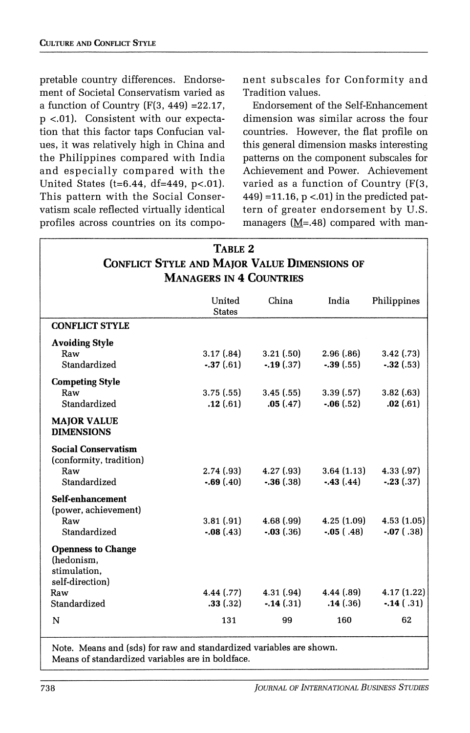**pretable country differences. Endorsement of Societal Conservatism varied as a function of Country (F(3, 449) =22.17, p <.01). Consistent with our expectation that this factor taps Confucian values, it was relatively high in China and the Philippines compared with India and especially compared with the United States (t=6.44, df=449, p<.O1). This pattern with the Social Conservatism scale reflected virtually identical profiles across countries on its compo-** **nent subscales for Conformity and Tradition values.** 

**Endorsement of the Self-Enhancement dimension was similar across the four countries. However, the flat profile on this general dimension masks interesting patterns on the component subscales for Achievement and Power. Achievement varied as a function of Country (F(3, 449) =11.16, p <.01) in the predicted pattern of greater endorsement by U.S. managers (M=.48) compared with man-**

| TABLE 2                                             |  |  |  |  |
|-----------------------------------------------------|--|--|--|--|
| <b>CONFLICT STYLE AND MAJOR VALUE DIMENSIONS OF</b> |  |  |  |  |
| <b>MANAGERS IN 4 COUNTRIES</b>                      |  |  |  |  |

|                                                                                                   | United<br><b>States</b>   | China                      | India                       | Philippines                 |
|---------------------------------------------------------------------------------------------------|---------------------------|----------------------------|-----------------------------|-----------------------------|
| <b>CONFLICT STYLE</b>                                                                             |                           |                            |                             |                             |
| <b>Avoiding Style</b><br>Raw<br>Standardized                                                      | 3.17(0.84)<br>$-37(61)$   | 3.21(.50)<br>$-19(0.37)$   | 2.96(.86)<br>$-.39(.55)$    | 3.42(0.73)<br>$-.32(.53)$   |
| <b>Competing Style</b><br>Raw<br>Standardized<br><b>MAJOR VALUE</b><br><b>DIMENSIONS</b>          | 3.75(.55)<br>.12(.61)     | 3.45(.55)<br>.05(.47)      | 3.39(0.57)<br>$-.06(.52)$   | 3.82(0.63)<br>.02(.61)      |
| <b>Social Conservatism</b><br>(conformity, tradition)<br>Raw<br>Standardized                      | 2.74(0.93)<br>$-.69(.40)$ | 4.27(0.93)<br>$-.36(.38)$  | 3.64(1.13)<br>$-43(44)$     | 4.33(0.97)<br>$-.23(.37)$   |
| Self-enhancement<br>(power, achievement)<br>Raw<br>Standardized                                   | 3.81(.91)<br>$-.08(.43)$  | 4.68(.99)<br>$-0.03(0.36)$ | 4.25(1.09)<br>$-0.05$ (.48) | 4.53(1.05)<br>$-0.07$ (.38) |
| <b>Openness to Change</b><br>(hedonism,<br>stimulation.<br>self-direction)<br>Raw<br>Standardized | 4.44 (.77)<br>.33(.32)    | 4.31(.94)<br>$-14(0.31)$   | 4.44(0.89)<br>.14(0.36)     | 4.17(1.22)<br>$-0.14$ (.31) |
| N                                                                                                 | 131                       | 99                         | 160                         | 62                          |

**Note. Means and (sds) for raw and standardized variables are shown. Means of standardized variables are in boldface.**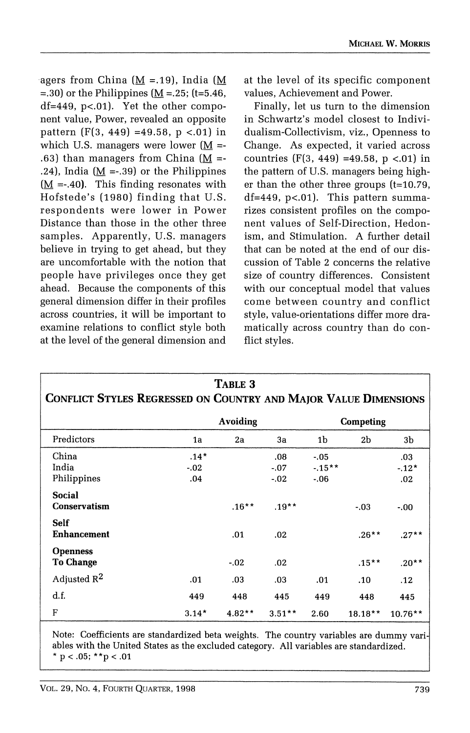**-agers from China (M =.19), India (M =.30) or the Philippines (M =.25; (t=5.46, df=449, p<.01). Yet the other component value, Power, revealed an opposite pattern (F(3, 449) =49.58, p <.01) in**  which U.S. managers were lower  $(M = -1)$  $(63)$  than managers from China (M = **.24), India (M =-.39) or the Philippines (M =-.40). This finding resonates with Hofstede's (1980) finding that U.S. respondents were lower in Power Distance than those in the other three samples. Apparently, U.S. managers believe in trying to get ahead, but they are uncomfortable with the notion that people have privileges once they get ahead. Because the components of this general dimension differ in their profiles across countries, it will be important to examine relations to conflict style both at the level of the general dimension and**  **at the level of its specific component values, Achievement and Power.** 

**Finally, let us turn to the dimension in Schwartz's model closest to Individualism-Collectivism, viz., Openness to Change. As expected, it varied across countries (F(3, 449) =49.58, p <.01) in the pattern of U.S. managers being higher than the other three groups (t=10.79, df=449, p<.01). This pattern summarizes consistent profiles on the component values of Self-Direction, Hedonism, and Stimulation. A further detail that can be noted at the end of our discussion of Table 2 concerns the relative size of country differences. Consistent with our conceptual model that values come between country and conflict style, value-orientations differ more dramatically across country than do conflict styles.** 

| TABLE 3<br>CONFLICT STYLES REGRESSED ON COUNTRY AND MAJOR VALUE DIMENSIONS |                         |                 |                         |                              |           |                      |  |  |
|----------------------------------------------------------------------------|-------------------------|-----------------|-------------------------|------------------------------|-----------|----------------------|--|--|
|                                                                            |                         | <b>Avoiding</b> |                         |                              | Competing |                      |  |  |
| Predictors                                                                 | 1a                      | 2a              | 3a                      | 1b                           | 2b        | 3b                   |  |  |
| China<br>India<br>Philippines                                              | $.14*$<br>$-.02$<br>.04 |                 | .08<br>$-.07$<br>$-.02$ | $-.05$<br>$-15**$<br>$-0.06$ |           | .03<br>$-12*$<br>.02 |  |  |
| <b>Social</b><br><b>Conservatism</b>                                       |                         | $.16***$        | $.19**$                 |                              | $-.03$    | $-.00$               |  |  |
| <b>Self</b><br><b>Enhancement</b>                                          |                         | .01             | .02                     |                              | $.26**$   | $.27**$              |  |  |
| <b>Openness</b><br><b>To Change</b>                                        |                         | $-.02$          | .02                     |                              | $.15***$  | $.20**$              |  |  |
| Adjusted $R^2$                                                             | .01                     | .03             | .03                     | .01                          | .10       | .12                  |  |  |
| d.f.                                                                       | 449                     | 448             | 445                     | 449                          | 448       | 445                  |  |  |
| F                                                                          | $3.14*$                 | $4.82**$        | $3.51**$                | 2.60                         | $18.18**$ | $10.76**$            |  |  |

**Note: Coefficients are standardized beta weights. The country variables are dummy vari ables with the United States as the excluded category. All variables are standardized. \* p < .05; \*\*p < .01**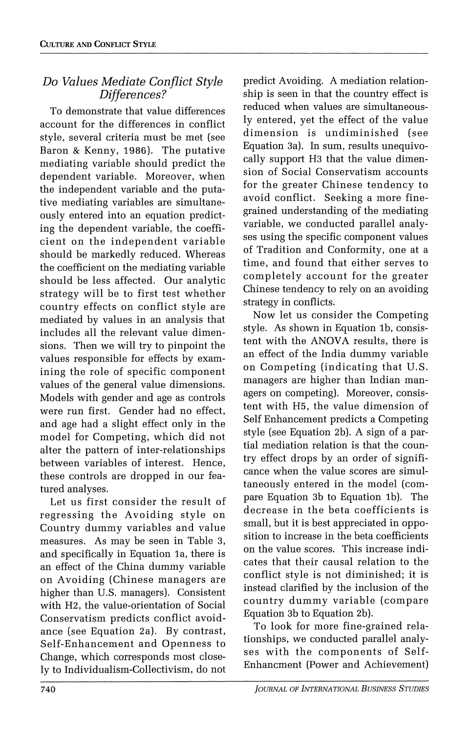#### **Do Values Mediate Conflict Style Differences?**

**To demonstrate that value differences account for the differences in conflict style, several criteria must be met (see Baron & Kenny, 1986). The putative mediating variable should predict the dependent variable. Moreover, when the independent variable and the putative mediating variables are simultaneously entered into an equation predicting the dependent variable, the coefficient on the independent variable should be markedly reduced. Whereas the coefficient on the mediating variable should be less affected. Our analytic strategy will be to first test whether country effects on conflict style are mediated by values in an analysis that includes all the relevant value dimensions. Then we will try to pinpoint the values responsible for effects by examining the role of specific component values of the general value dimensions. Models with gender and age as controls were run first. Gender had no effect, and age had a slight effect only in the model for Competing, which did not alter the pattern of inter-relationships between variables of interest. Hence, these controls are dropped in our featured analyses.** 

**Let us first consider the result of regressing the Avoiding style on Country dummy variables and value measures. As may be seen in Table 3, and specifically in Equation la, there is an effect of the China dummy variable on Avoiding (Chinese managers are higher than U.S. managers). Consistent with H2, the value-orientation of Social Conservatism predicts conflict avoidance (see Equation 2a). By contrast, Self-Enhancement and Openness to Change, which corresponds most closely to Individualism-Collectivism, do not** 

**predict Avoiding. A mediation relationship is seen in that the country effect is reduced when values are simultaneously entered, yet the effect of the value dimension is undiminished (see Equation 3a). In sum, results unequivocally support H3 that the value dimension of Social Conservatism accounts for the greater Chinese tendency to avoid conflict. Seeking a more finegrained understanding of the mediating variable, we conducted parallel analyses using the specific component values of Tradition and Conformity, one at a time, and found that either serves to completely account for the greater Chinese tendency to rely on an avoiding strategy in conflicts.** 

**Now let us consider the Competing style. As shown in Equation lb, consistent with the ANOVA results, there is an effect of the India dummy variable on Competing (indicating that U.S. managers are higher than Indian managers on competing). Moreover, consistent with H5, the value dimension of Self Enhancement predicts a Competing style (see Equation 2b). A sign of a partial mediation relation is that the country effect drops by an order of significance when the value scores are simultaneously entered in the model (compare Equation 3b to Equation ib). The decrease in the beta coefficients is small, but it is best appreciated in opposition to increase in the beta coefficients on the value scores. This increase indicates that their causal relation to the conflict style is not diminished; it is instead clarified by the inclusion of the country dummy variable (compare Equation 3b to Equation 2b).** 

**To look for more fine-grained relationships, we conducted parallel analyses with the components of Self-Enhancment (Power and Achievement)**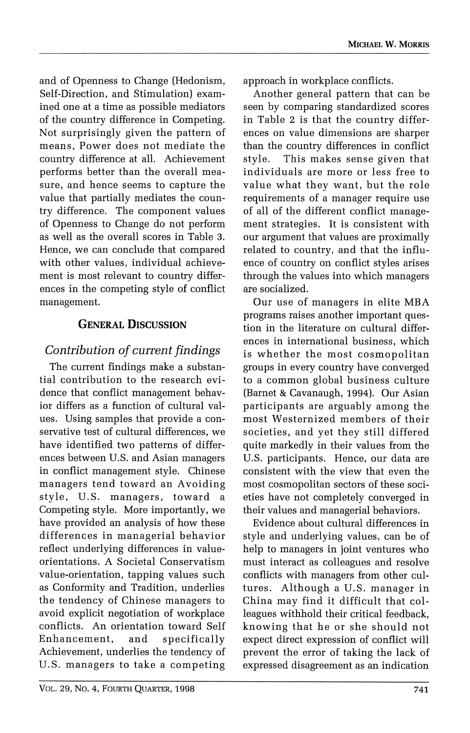**and of Openness to Change (Hedonism, Self-Direction, and Stimulation) examined one at a time as possible mediators of the country difference in Competing. Not surprisingly given the pattern of means, Power does not mediate the country difference at all. Achievement performs better than the overall measure, and hence seems to capture the value that partially mediates the country difference. The component values of Openness to Change do not perform as well as the overall scores in Table 3. Hence, we can conclude that compared with other values, individual achievement is most relevant to country differences in the competing style of conflict management.** 

#### **GENERAL DISCUSSION**

# **Contribution of current findings**

**The current findings make a substantial contribution to the research evidence that conflict management behavior differs as a function of cultural values. Using samples that provide a conservative test of cultural differences, we have identified two patterns of differences between U.S. and Asian managers in conflict management style. Chinese managers tend toward an Avoiding style, U.S. managers, toward a Competing style. More importantly, we have provided an analysis of how these differences in managerial behavior reflect underlying differences in valueorientations. A Societal Conservatism value-orientation, tapping values such as Conformity and Tradition, underlies the tendency of Chinese managers to avoid explicit negotiation of workplace conflicts. An orientation toward Self Enhancement, and specifically Achievement, underlies the tendency of U.S. managers to take a competing**  **approach in workplace conflicts.** 

**Another general pattern that can be seen by comparing standardized scores in Table 2 is that the country differences on value dimensions are sharper than the country differences in conflict style. This makes sense given that individuals are more or less free to value what they want, but the role requirements of a manager require use of all of the different conflict management strategies. It is consistent with our argument that values are proximally related to country, and that the influence of country on conflict styles arises through the values into which managers are socialized.** 

**Our use of managers in elite MBA programs raises another important question in the literature on cultural differences in international business, which is whether the most cosmopolitan groups in every country have converged to a common global business culture (Barnet & Cavanaugh, 1994). Our Asian participants are arguably among the most Westernized members of their societies, and yet they still differed quite markedly in their values from the U.S. participants. Hence, our data are consistent with the view that even the most cosmopolitan sectors of these societies have not completely converged in their values and managerial behaviors.** 

**Evidence about cultural differences in style and underlying values, can be of help to managers in joint ventures who must interact as colleagues and resolve conflicts with managers from other cultures. Although a U.S. manager in China may find it difficult that colleagues withhold their critical feedback, knowing that he or she should not expect direct expression of conflict will prevent the error of taking the lack of expressed disagreement as an indication**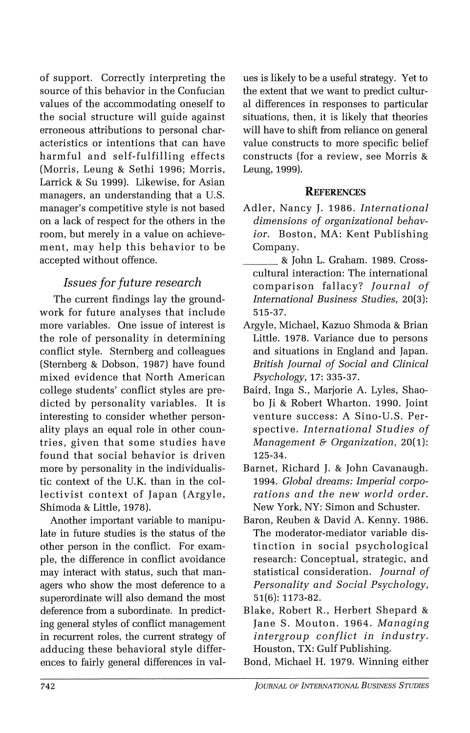**of support. Correctly interpreting the source of this behavior in the Confucian values of the accommodating oneself to the social structure will guide against erroneous attributions to personal characteristics or intentions that can have harmful and self-fulfilling effects (Morris, Leung & Sethi 1996; Morris, Larrick & Su 1999). Likewise, for Asian managers, an understanding that a U.S. manager's competitive style is not based on a lack of respect for the others in the room, but merely in a value on achievement, may help this behavior to be accepted without offence.** 

#### **Issues for future research**

**The current findings lay the groundwork for future analyses that include more variables. One issue of interest is the role of personality in determining conflict style. Sternberg and colleagues (Sternberg & Dobson, 1987) have found mixed evidence that North American college students' conflict styles are predicted by personality variables. It is interesting to consider whether personality plays an equal role in other countries, given that some studies have found that social behavior is driven more by personality in the individualistic context of the U.K. than in the collectivist context of Japan (Argyle, Shimoda & Little, 1978).** 

**Another important variable to manipulate in future studies is the status of the other person in the conflict. For example, the difference in conflict avoidance may interact with status, such that managers who show the most deference to a superordinate will also demand the most deference from a subordinate. In predicting general styles of conflict management in recurrent roles, the current strategy of adducing these behavioral style differences to fairly general differences in val-**

**ues is likely to be a useful strategy. Yet to the extent that we want to predict cultural differences in responses to particular situations, then, it is likely that theories will have to shift from reliance on general value constructs to more specific belief constructs (for a review, see Morris & Leung, 1999).** 

#### **REFERENCES**

- **Adler, Nancy J. 1986. International dimensions of organizational behavior. Boston, MA: Kent Publishing Company.**
- **& John L. Graham. 1989. Crosscultural interaction: The international comparison fallacy? Journal of International Business Studies, 20(3): 515-37.**
- **Argyle, Michael, Kazuo Shmoda & Brian Little. 1978. Variance due to persons and situations in England and Japan. British Journal of Social and Clinical Psychology, 17: 335-37.**
- **Baird, Inga S., Marjorie A. Lyles, Shaobo Ji & Robert Wharton. 1990. Joint venture success: A Sino-U.S. Perspective. International Studies of Management & Organization, 20(1): 125-34.**
- **Barnet, Richard J. & John Cavanaugh. 1994. Global dreams: Imperial corporations and the new world order. New York, NY: Simon and Schuster.**
- **Baron, Reuben & David A. Kenny. 1986. The moderator-mediator variable distinction in social psychological research: Conceptual, strategic, and statistical consideration. Journal of Personality and Social Psychology, 51(6): 1173-82.**
- **Blake, Robert R., Herbert Shepard & Jane S. Mouton. 1964. Managing intergroup conflict in industry. Houston, TX: Gulf Publishing.**
- **Bond, Michael H. 1979. Winning either**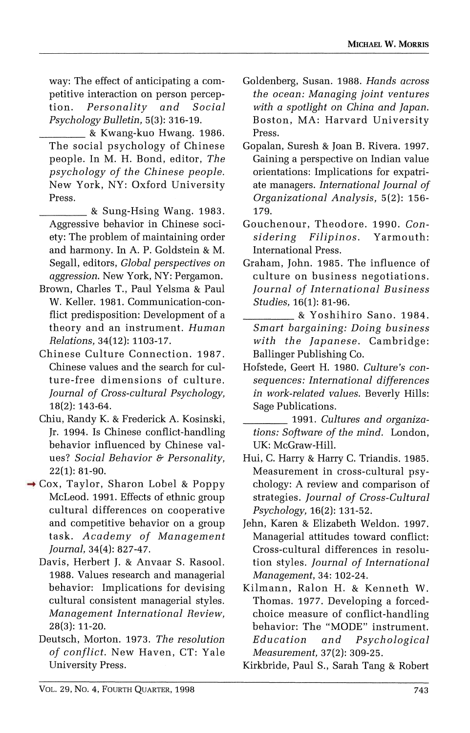**way: The effect of anticipating a competitive interaction on person perception. Personality and Social Psychology Bulletin, 5(3): 316-19.** 

- **& Kwang-kuo Hwang. 1986. The social psychology of Chinese people. In M. H. Bond, editor, The psychology of the Chinese people. New York, NY: Oxford University Press.**
- **\_ & Sung-Hsing Wang. 1983. Aggressive behavior in Chinese society: The problem of maintaining order and harmony. In A. P. Goldstein & M. Segall, editors, Global perspectives on aggression. New York, NY: Pergamon.**
- **Brown, Charles T., Paul Yelsma & Paul W. Keller. 1981. Communication-conflict predisposition: Development of a theory and an instrument. Human Relations, 34(12): 1103-17.**
- **Chinese Culture Connection. 1987. Chinese values and the search for culture-free dimensions of culture. Journal of Cross-cultural Psychology, 18(2): 143-64.**
- **Chiu, Randy K. & Frederick A. Kosinski, Jr. 1994. Is Chinese conflict-handling behavior influenced by Chinese values? Social Behavior & Personality, 22(1): 81-90.**
- **Cox, Taylor, Sharon Lobel & Poppy McLeod. 1991. Effects of ethnic group cultural differences on cooperative and competitive behavior on a group task. Academy of Management Journal, 34(4): 827-47.** 
	- **Davis, Herbert J. & Anvaar S. Rasool. 1988. Values research and managerial behavior: Implications for devising cultural consistent managerial styles. Management International Review, 28(3): 11-20.**
	- **Deutsch, Morton. 1973. The resolution of conflict. New Haven, CT: Yale University Press.**
- **Goldenberg, Susan. 1988. Hands across the ocean: Managing joint ventures with a spotlight on China and Japan. Boston, MA: Harvard University Press.**
- **Gopalan, Suresh & Joan B. Rivera. 1997. Gaining a perspective on Indian value orientations: Implications for expatriate managers. International Journal of Organizational Analysis, 5(2): 156- 179.**
- **Gouchenour, Theodore. 1990. Considering Filipinos. Yarmouth: International Press.**
- **Graham, John. 1985. The influence of culture on business negotiations. Journal of International Business Studies, 16(1): 81-96.** 
	- **& Yoshihiro Sano. 1984. Smart bargaining: Doing business with the Japanese. Cambridge: Ballinger Publishing Co.**
- **Hofstede, Geert H. 1980. Culture's consequences: International differences in work-related values. Beverly Hills: Sage Publications.** 
	- **1991. Cultures and organizations: Software of the mind. London, UK: McGraw-Hill.**
- **Hui, C. Harry & Harry C. Triandis. 1985. Measurement in cross-cultural psychology: A review and comparison of strategies. Journal of Cross-Cultural Psychology, 16(2): 131-52.**
- **Jehn, Karen & Elizabeth Weldon. 1997. Managerial attitudes toward conflict: Cross-cultural differences in resolution styles. Journal of International Management, 34: 102-24.**
- **Kilmann, Ralon H. & Kenneth W. Thomas. 1977. Developing a forcedchoice measure of conflict-handling behavior: The "MODE" instrument. Education and Psychological Measurement, 37(2): 309-25.**

**Kirkbride, Paul S., Sarah Tang & Robert**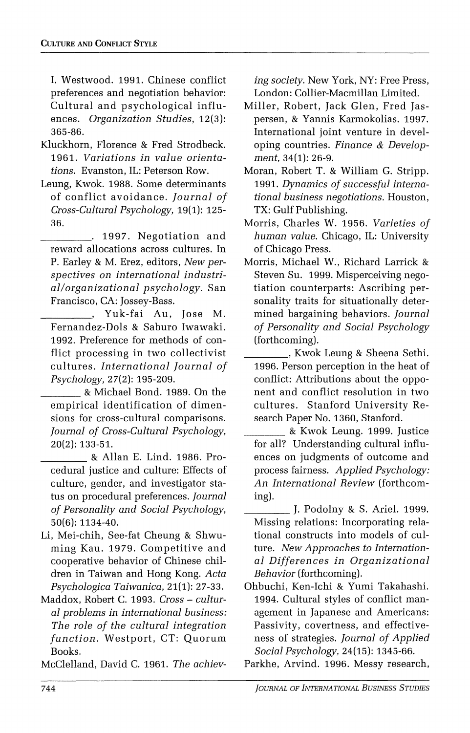**I. Westwood. 1991. Chinese conflict preferences and negotiation behavior: Cultural and psychological influences. Organization Studies, 12(3): 365-86.** 

- **Kluckhorn, Florence & Fred Strodbeck. 1961. Variations in value orientations. Evanston, IL: Peterson Row.**
- **Leung, Kwok. 1988. Some determinants of conflict avoidance. Journal of Cross-Cultural Psychology, 19(1): 125- 36.**

**. 1997. Negotiation and reward allocations across cultures. In P. Earley & M. Erez, editors, New perspectives on international industrial/organizational psychology. San Francisco, CA: Jossey-Bass.** 

**, Yuk-fai Au, Jose M. Fernandez-Dols & Saburo Iwawaki. 1992. Preference for methods of conflict processing in two collectivist cultures. International Journal of Psychology, 27(2): 195-209.** 

**& Michael Bond. 1989. On the empirical identification of dimensions for cross-cultural comparisons. Journal of Cross-Cultural Psychology, 20(2): 133-51.** 

**& Allan E. Lind. 1986. Procedural justice and culture: Effects of culture, gender, and investigator status on procedural preferences. Journal of Personality and Social Psychology, 50(6): 1134-40.** 

- **Li, Mei-chih, See-fat Cheung & Shwuming Kau. 1979. Competitive and cooperative behavior of Chinese children in Taiwan and Hong Kong. Acta Psychologica Taiwanica, 21(1): 27-33.**
- **Maddox, Robert C. 1993. Cross cultural problems in international business: The role of the cultural integration function. Westport, CT: Quorum Books.**

**McClelland, David C. 1961. The achiev-**

**ing society. New York, NY: Free Press, London: Collier-Macmillan Limited.** 

- **Miller, Robert, Jack Glen, Fred Jaspersen, & Yannis Karmokolias. 1997. International joint venture in developing countries. Finance & Development, 34(1): 26-9.**
- **Moran, Robert T. & William G. Stripp. 1991. Dynamics of successful international business negotiations. Houston, TX: Gulf Publishing.**
- **Morris, Charles W. 1956. Varieties of human value. Chicago, IL: University of Chicago Press.**
- **Morris, Michael W., Richard Larrick & Steven Su. 1999. Misperceiving negotiation counterparts: Ascribing personality traits for situationally determined bargaining behaviors. Journal of Personality and Social Psychology (forthcoming).** 
	- **, Kwok Leung & Sheena Sethi. 1996. Person perception in the heat of conflict: Attributions about the opponent and conflict resolution in two cultures. Stanford University Research Paper No. 1360, Stanford.**
	- **& Kwok Leung. 1999. Justice for all? Understanding cultural influences on judgments of outcome and process fairness. Applied Psychology: An International Review (forthcoming).**
	- **J. Podolny & S. Ariel. 1999. Missing relations: Incorporating relational constructs into models of culture. New Approaches to International Differences in Organizational Behavior (forthcoming).**
- **Ohbuchi, Ken-Ichi & Yumi Takahashi. 1994. Cultural styles of conflict management in Japanese and Americans: Passivity, covertness, and effectiveness of strategies. Journal of Applied Social Psychology, 24(15): 1345-66.**

**Parkhe, Arvind. 1996. Messy research,**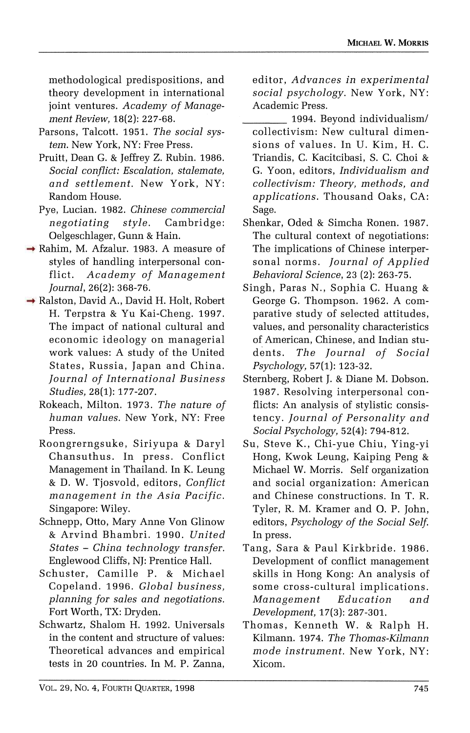**methodological predispositions, and theory development in international joint ventures. Academy of Management Review, 18(2): 227-68.** 

- **Parsons, Talcott. 1951. The social system. New York, NY: Free Press.**
- **Pruitt, Dean G. & Jeffrey Z. Rubin. 1986. Social conflict: Escalation, stalemate, and settlement. New York, NY: Random House.**
- **Pye, Lucian. 1982. Chinese commercial negotiating style. Cambridge: Oelgeschlager, Gunn & Hain.**
- **Rahim, M. Afzalur. 1983. A measure of styles of handling interpersonal conflict. Academy of Management Journal, 26(2): 368-76.**
- **Ralston, David A., David H. Holt, Robert H. Terpstra & Yu Kai-Cheng. 1997. The impact of national cultural and economic ideology on managerial work values: A study of the United States, Russia, Japan and China. Journal of International Business Studies, 28(1): 177-207.** 
	- **Rokeach, Milton. 1973. The nature of human values. New York, NY: Free Press.**
	- **Roongrerngsuke, Siriyupa & Daryl Chansuthus. In press. Conflict Management in Thailand. In K. Leung & D. W. Tjosvold, editors, Conflict management in the Asia Pacific. Singapore: Wiley.**
	- **Schnepp, Otto, Mary Anne Von Glinow & Arvind Bhambri. 1990. United States - China technology transfer. Englewood Cliffs, NJ: Prentice Hall.**
	- **Schuster, Camille P. & Michael Copeland. 1996. Global business, planning for sales and negotiations. Fort Worth, TX: Dryden.**
	- **Schwartz, Shalom H. 1992. Universals in the content and structure of values: Theoretical advances and empirical tests in 20 countries. In M. P. Zanna,**

**editor, Advances in experimental social psychology. New York, NY: Academic Press.** 

- **1994. Beyond individualism/ collectivism: New cultural dimensions of values. In U. Kim, H. C. Triandis, C. Kacitcibasi, S. C. Choi & G. Yoon, editors, Individualism and collectivism: Theory, methods, and applications. Thousand Oaks, CA: Sage.**
- **Shenkar, Oded & Simcha Ronen. 1987. The cultural context of negotiations: The implications of Chinese interpersonal norms. Journal of Applied Behavioral Science, 23 (2): 263-75.**
- **Singh, Paras N., Sophia C. Huang & George G. Thompson. 1962. A comparative study of selected attitudes, values, and personality characteristics of American, Chinese, and Indian students. The Journal of Social Psychology, 57(1): 123-32.**
- **Sternberg, Robert J. & Diane M. Dobson. 1987. Resolving interpersonal conflicts: An analysis of stylistic consistency. Journal of Personality and Social Psychology, 52(4): 794-812.**
- **Su, Steve K., Chi-yue Chiu, Ying-yi Hong, Kwok Leung, Kaiping Peng & Michael W. Morris. Self organization and social organization: American and Chinese constructions. In T. R. Tyler, R. M. Kramer and 0. P. John, editors, Psychology of the Social Self. In press.**
- **Tang, Sara & Paul Kirkbride. 1986. Development of conflict management skills in Hong Kong: An analysis of some cross-cultural implications. Management Education and Development, 17(3): 287-301.**
- **Thomas, Kenneth W. & Ralph H. Kilmann. 1974. The Thomas-Kilmann mode instrument. New York, NY: Xicom.**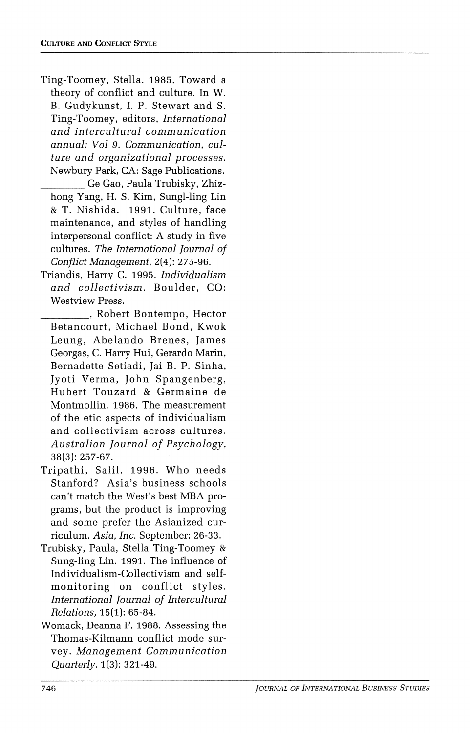- **Ting-Toomey, Stella. 1985. Toward a theory of conflict and culture. In W. B. Gudykunst, I. P. Stewart and S. Ting-Toomey, editors, International and intercultural communication annual: Vol 9. Communication, culture and organizational processes. Newbury Park, CA: Sage Publications.** 
	- **Ge Gao, Paula Trubisky, Zhizhong Yang, H. S. Kim, Sungl-ling Lin & T. Nishida. 1991. Culture, face maintenance, and styles of handling interpersonal conflict: A study in five cultures. The International Journal of Conflict Management, 2(4): 275-96.**
- **Triandis, Harry C. 1995. Individualism and collectivism. Boulder, CO: Westview Press.** 
	- **\_\_\_\_\_\_ Robert Bontempo, Hector Betancourt, Michael Bond, Kwok Leung, Abelando Brenes, James Georgas, C. Harry Hui, Gerardo Marin, Bernadette Setiadi, Jai B. P. Sinha, Jyoti Verma, John Spangenberg, Hubert Touzard & Germaine de Montmollin. 1986. The measurement of the etic aspects of individualism and collectivism across cultures. Australian Journal of Psychology, 38(3): 257-67.**
- **Tripathi, Salil. 1996. Who needs Stanford? Asia's business schools can't match the West's best MBA programs, but the product is improving and some prefer the Asianized curriculum. Asia, Inc. September: 26-33.**
- **Trubisky, Paula, Stella Ting-Toomey & Sung-ling Lin. 1991. The influence of Individualism-Collectivism and selfmonitoring on conflict styles. International Journal of Intercultural Relations, 15(1): 65-84.**
- **Womack, Deanna F. 1988. Assessing the Thomas-Kilmann conflict mode survey. Management Communication Quarterly, 1(3): 321-49.**